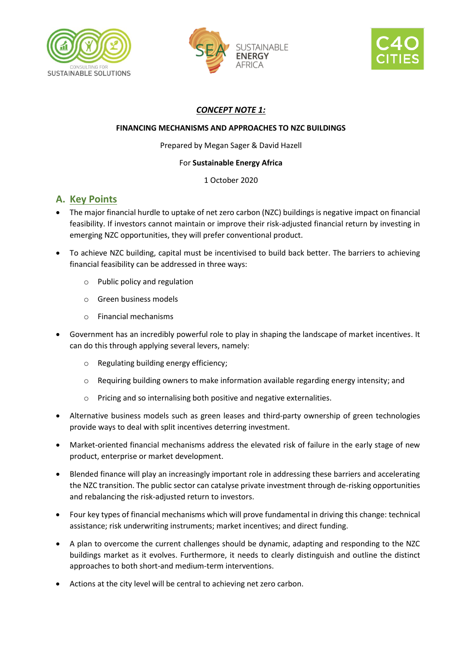





## *CONCEPT NOTE 1:*

### **FINANCING MECHANISMS AND APPROACHES TO NZC BUILDINGS**

Prepared by Megan Sager & David Hazell

### For **Sustainable Energy Africa**

1 October 2020

# **A. Key Points**

- The major financial hurdle to uptake of net zero carbon (NZC) buildings is negative impact on financial feasibility. If investors cannot maintain or improve their risk-adjusted financial return by investing in emerging NZC opportunities, they will prefer conventional product.
- To achieve NZC building, capital must be incentivised to build back better. The barriers to achieving financial feasibility can be addressed in three ways:
	- o Public policy and regulation
	- o Green business models
	- o Financial mechanisms
- Government has an incredibly powerful role to play in shaping the landscape of market incentives. It can do this through applying several levers, namely:
	- o Regulating building energy efficiency;
	- $\circ$  Requiring building owners to make information available regarding energy intensity; and
	- o Pricing and so internalising both positive and negative externalities.
- Alternative business models such as green leases and third-party ownership of green technologies provide ways to deal with split incentives deterring investment.
- Market-oriented financial mechanisms address the elevated risk of failure in the early stage of new product, enterprise or market development.
- Blended finance will play an increasingly important role in addressing these barriers and accelerating the NZC transition. The public sector can catalyse private investment through de-risking opportunities and rebalancing the risk-adjusted return to investors.
- Four key types of financial mechanisms which will prove fundamental in driving this change: technical assistance; risk underwriting instruments; market incentives; and direct funding.
- A plan to overcome the current challenges should be dynamic, adapting and responding to the NZC buildings market as it evolves. Furthermore, it needs to clearly distinguish and outline the distinct approaches to both short-and medium-term interventions.
- Actions at the city level will be central to achieving net zero carbon.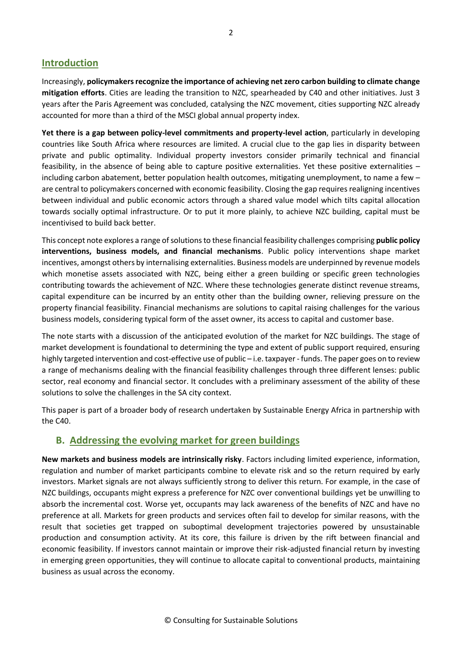### **Introduction**

Increasingly, **policymakers recognize the importance of achieving net zero carbon building to climate change mitigation efforts**. Cities are leading the transition to NZC, spearheaded by C40 and other initiatives. Just 3 years after the Paris Agreement was concluded, catalysing the NZC movement, cities supporting NZC already accounted for more than a third of the MSCI global annual property index.

**Yet there is a gap between policy-level commitments and property-level action**, particularly in developing countries like South Africa where resources are limited. A crucial clue to the gap lies in disparity between private and public optimality. Individual property investors consider primarily technical and financial feasibility, in the absence of being able to capture positive externalities. Yet these positive externalities – including carbon abatement, better population health outcomes, mitigating unemployment, to name a few – are central to policymakers concerned with economic feasibility. Closing the gap requires realigning incentives between individual and public economic actors through a shared value model which tilts capital allocation towards socially optimal infrastructure. Or to put it more plainly, to achieve NZC building, capital must be incentivised to build back better.

This concept note explores a range of solutions to these financial feasibility challenges comprising **public policy interventions, business models, and financial mechanisms**. Public policy interventions shape market incentives, amongst others by internalising externalities. Business models are underpinned by revenue models which monetise assets associated with NZC, being either a green building or specific green technologies contributing towards the achievement of NZC. Where these technologies generate distinct revenue streams, capital expenditure can be incurred by an entity other than the building owner, relieving pressure on the property financial feasibility. Financial mechanisms are solutions to capital raising challenges for the various business models, considering typical form of the asset owner, its access to capital and customer base.

The note starts with a discussion of the anticipated evolution of the market for NZC buildings. The stage of market development is foundational to determining the type and extent of public support required, ensuring highly targeted intervention and cost-effective use of public – i.e. taxpayer - funds. The paper goes on to review a range of mechanisms dealing with the financial feasibility challenges through three different lenses: public sector, real economy and financial sector. It concludes with a preliminary assessment of the ability of these solutions to solve the challenges in the SA city context.

This paper is part of a broader body of research undertaken by Sustainable Energy Africa in partnership with the C40.

### **B. Addressing the evolving market for green buildings**

**New markets and business models are intrinsically risky**. Factors including limited experience, information, regulation and number of market participants combine to elevate risk and so the return required by early investors. Market signals are not always sufficiently strong to deliver this return. For example, in the case of NZC buildings, occupants might express a preference for NZC over conventional buildings yet be unwilling to absorb the incremental cost. Worse yet, occupants may lack awareness of the benefits of NZC and have no preference at all. Markets for green products and services often fail to develop for similar reasons, with the result that societies get trapped on suboptimal development trajectories powered by unsustainable production and consumption activity. At its core, this failure is driven by the rift between financial and economic feasibility. If investors cannot maintain or improve their risk-adjusted financial return by investing in emerging green opportunities, they will continue to allocate capital to conventional products, maintaining business as usual across the economy.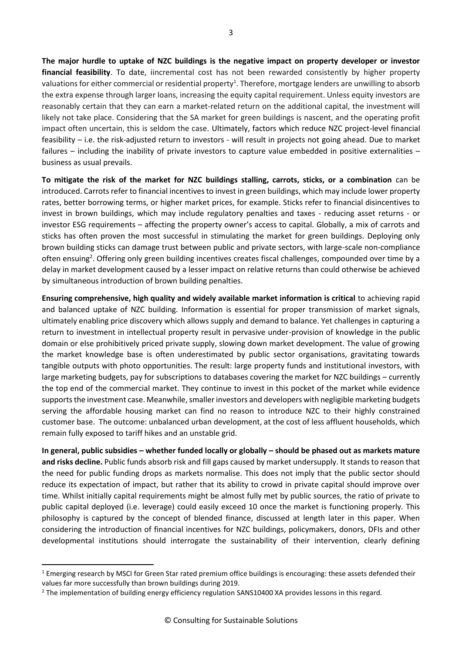**The major hurdle to uptake of NZC buildings is the negative impact on property developer or investor financial feasibility**. To date, iincremental cost has not been rewarded consistently by higher property valuations for either commercial or residential property<sup>1</sup>. Therefore, mortgage lenders are unwilling to absorb the extra expense through larger loans, increasing the equity capital requirement. Unless equity investors are reasonably certain that they can earn a market-related return on the additional capital, the investment will likely not take place. Considering that the SA market for green buildings is nascent, and the operating profit impact often uncertain, this is seldom the case. Ultimately, factors which reduce NZC project-level financial feasibility – i.e. the risk-adjusted return to investors - will result in projects not going ahead. Due to market failures – including the inability of private investors to capture value embedded in positive externalities – business as usual prevails.

**To mitigate the risk of the market for NZC buildings stalling, carrots, sticks, or a combination** can be introduced. Carrots refer to financial incentives to invest in green buildings, which may include lower property rates, better borrowing terms, or higher market prices, for example. Sticks refer to financial disincentives to invest in brown buildings, which may include regulatory penalties and taxes - reducing asset returns - or investor ESG requirements – affecting the property owner's access to capital. Globally, a mix of carrots and sticks has often proven the most successful in stimulating the market for green buildings. Deploying only brown building sticks can damage trust between public and private sectors, with large-scale non-compliance often ensuing<sup>2</sup>. Offering only green building incentives creates fiscal challenges, compounded over time by a delay in market development caused by a lesser impact on relative returns than could otherwise be achieved by simultaneous introduction of brown building penalties.

**Ensuring comprehensive, high quality and widely available market information is critical** to achieving rapid and balanced uptake of NZC building. Information is essential for proper transmission of market signals, ultimately enabling price discovery which allows supply and demand to balance. Yet challenges in capturing a return to investment in intellectual property result in pervasive under-provision of knowledge in the public domain or else prohibitively priced private supply, slowing down market development. The value of growing the market knowledge base is often underestimated by public sector organisations, gravitating towards tangible outputs with photo opportunities. The result: large property funds and institutional investors, with large marketing budgets, pay for subscriptions to databases covering the market for NZC buildings – currently the top end of the commercial market. They continue to invest in this pocket of the market while evidence supports the investment case. Meanwhile, smaller investors and developers with negligible marketing budgets serving the affordable housing market can find no reason to introduce NZC to their highly constrained customer base. The outcome: unbalanced urban development, at the cost of less affluent households, which remain fully exposed to tariff hikes and an unstable grid.

**In general, public subsidies – whether funded locally or globally – should be phased out as markets mature and risks decline.** Public funds absorb risk and fill gaps caused by market undersupply. It stands to reason that the need for public funding drops as markets normalise. This does not imply that the public sector should reduce its expectation of impact, but rather that its ability to crowd in private capital should improve over time. Whilst initially capital requirements might be almost fully met by public sources, the ratio of private to public capital deployed (i.e. leverage) could easily exceed 10 once the market is functioning properly. This philosophy is captured by the concept of blended finance, discussed at length later in this paper. When considering the introduction of financial incentives for NZC buildings, policymakers, donors, DFIs and other developmental institutions should interrogate the sustainability of their intervention, clearly defining

<sup>&</sup>lt;sup>1</sup> Emerging research by MSCI for Green Star rated premium office buildings is encouraging: these assets defended their values far more successfully than brown buildings during 2019.

<sup>&</sup>lt;sup>2</sup> The implementation of building energy efficiency regulation SANS10400 XA provides lessons in this regard.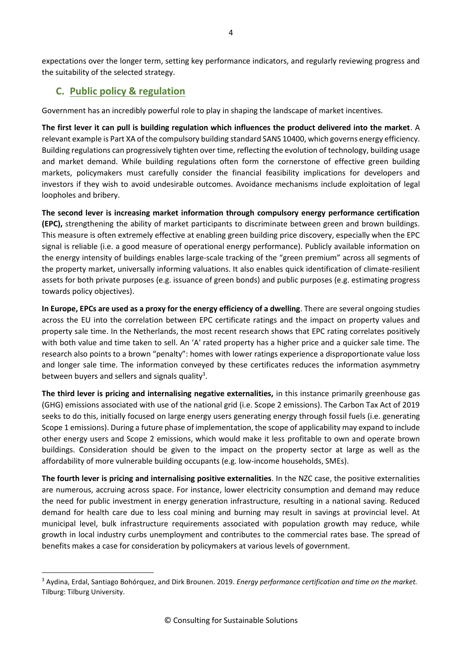expectations over the longer term, setting key performance indicators, and regularly reviewing progress and the suitability of the selected strategy.

# **C. Public policy & regulation**

Government has an incredibly powerful role to play in shaping the landscape of market incentives.

**The first lever it can pull is building regulation which influences the product delivered into the market**. A relevant example is Part XA of the compulsory building standard SANS 10400, which governs energy efficiency. Building regulations can progressively tighten over time, reflecting the evolution of technology, building usage and market demand. While building regulations often form the cornerstone of effective green building markets, policymakers must carefully consider the financial feasibility implications for developers and investors if they wish to avoid undesirable outcomes. Avoidance mechanisms include exploitation of legal loopholes and bribery.

**The second lever is increasing market information through compulsory energy performance certification (EPC),** strengthening the ability of market participants to discriminate between green and brown buildings. This measure is often extremely effective at enabling green building price discovery, especially when the EPC signal is reliable (i.e. a good measure of operational energy performance). Publicly available information on the energy intensity of buildings enables large-scale tracking of the "green premium" across all segments of the property market, universally informing valuations. It also enables quick identification of climate-resilient assets for both private purposes (e.g. issuance of green bonds) and public purposes (e.g. estimating progress towards policy objectives).

**In Europe, EPCs are used as a proxy for the energy efficiency of a dwelling**. There are several ongoing studies across the EU into the correlation between EPC certificate ratings and the impact on property values and property sale time. In the Netherlands, the most recent research shows that EPC rating correlates positively with both value and time taken to sell. An 'A' rated property has a higher price and a quicker sale time. The research also points to a brown "penalty": homes with lower ratings experience a disproportionate value loss and longer sale time. The information conveyed by these certificates reduces the information asymmetry between buyers and sellers and signals quality<sup>3</sup>.

**The third lever is pricing and internalising negative externalities,** in this instance primarily greenhouse gas (GHG) emissions associated with use of the national grid (i.e. Scope 2 emissions). The Carbon Tax Act of 2019 seeks to do this, initially focused on large energy users generating energy through fossil fuels (i.e. generating Scope 1 emissions). During a future phase of implementation, the scope of applicability may expand to include other energy users and Scope 2 emissions, which would make it less profitable to own and operate brown buildings. Consideration should be given to the impact on the property sector at large as well as the affordability of more vulnerable building occupants (e.g. low-income households, SMEs).

**The fourth lever is pricing and internalising positive externalities**. In the NZC case, the positive externalities are numerous, accruing across space. For instance, lower electricity consumption and demand may reduce the need for public investment in energy generation infrastructure, resulting in a national saving. Reduced demand for health care due to less coal mining and burning may result in savings at provincial level. At municipal level, bulk infrastructure requirements associated with population growth may reduce, while growth in local industry curbs unemployment and contributes to the commercial rates base. The spread of benefits makes a case for consideration by policymakers at various levels of government.

<sup>3</sup> Aydina, Erdal, Santiago Bohórquez, and Dirk Brounen. 2019. *Energy performance certification and time on the market.* Tilburg: Tilburg University.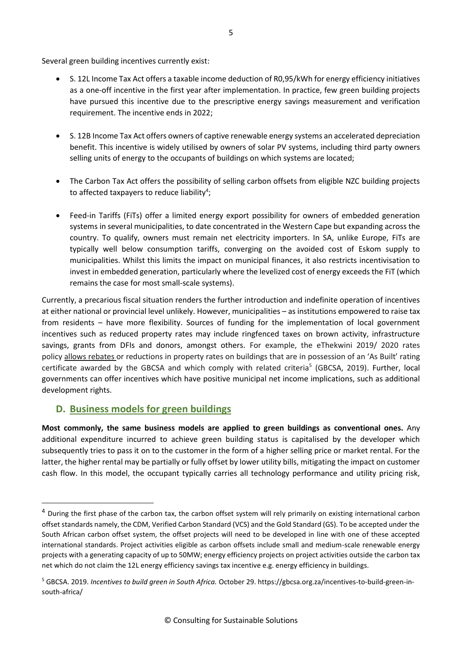Several green building incentives currently exist:

- S. 12L Income Tax Act offers a taxable income deduction of R0,95/kWh for energy efficiency initiatives as a one-off incentive in the first year after implementation. In practice, few green building projects have pursued this incentive due to the prescriptive energy savings measurement and verification requirement. The incentive ends in 2022;
- S. 12B Income Tax Act offers owners of captive renewable energy systems an accelerated depreciation benefit. This incentive is widely utilised by owners of solar PV systems, including third party owners selling units of energy to the occupants of buildings on which systems are located;
- The Carbon Tax Act offers the possibility of selling carbon offsets from eligible NZC building projects to affected taxpayers to reduce liability<sup>4</sup>;
- Feed-in Tariffs (FiTs) offer a limited energy export possibility for owners of embedded generation systems in several municipalities, to date concentrated in the Western Cape but expanding across the country. To qualify, owners must remain net electricity importers. In SA, unlike Europe, FiTs are typically well below consumption tariffs, converging on the avoided cost of Eskom supply to municipalities. Whilst this limits the impact on municipal finances, it also restricts incentivisation to invest in embedded generation, particularly where the levelized cost of energy exceeds the FiT (which remains the case for most small-scale systems).

Currently, a precarious fiscal situation renders the further introduction and indefinite operation of incentives at either national or provincial level unlikely. However, municipalities – as institutions empowered to raise tax from residents – have more flexibility. Sources of funding for the implementation of local government incentives such as reduced property rates may include ringfenced taxes on brown activity, infrastructure savings, grants from DFIs and donors, amongst others. For example, the eThekwini 2019/ 2020 rates policy [allows rebates](http://www.durban.gov.za/City_Government/Administration/Administrative%20Clusters/treasury/Revenue_Services/Documents/RatesPolicy2019_2020.pdf) or reductions in property rates on buildings that are in possession of an 'As Built' rating certificate awarded by the GBCSA and which comply with related criteria<sup>5</sup> (GBCSA, 2019). Further, local governments can offer incentives which have positive municipal net income implications, such as additional development rights.

### **D. Business models for green buildings**

**Most commonly, the same business models are applied to green buildings as conventional ones.** Any additional expenditure incurred to achieve green building status is capitalised by the developer which subsequently tries to pass it on to the customer in the form of a higher selling price or market rental. For the latter, the higher rental may be partially or fully offset by lower utility bills, mitigating the impact on customer cash flow. In this model, the occupant typically carries all technology performance and utility pricing risk,

 $4$  During the first phase of the carbon tax, the carbon offset system will rely primarily on existing international carbon offset standards namely, the CDM, Verified Carbon Standard (VCS) and the Gold Standard (GS). To be accepted under the South African carbon offset system, the offset projects will need to be developed in line with one of these accepted international standards. Project activities eligible as carbon offsets include small and medium-scale renewable energy projects with a generating capacity of up to 50MW; energy efficiency projects on project activities outside the carbon tax net which do not claim the 12L energy efficiency savings tax incentive e.g. energy efficiency in buildings.

<sup>5</sup> GBCSA. 2019. *Incentives to build green in South Africa.* October 29. https://gbcsa.org.za/incentives-to-build-green-insouth-africa/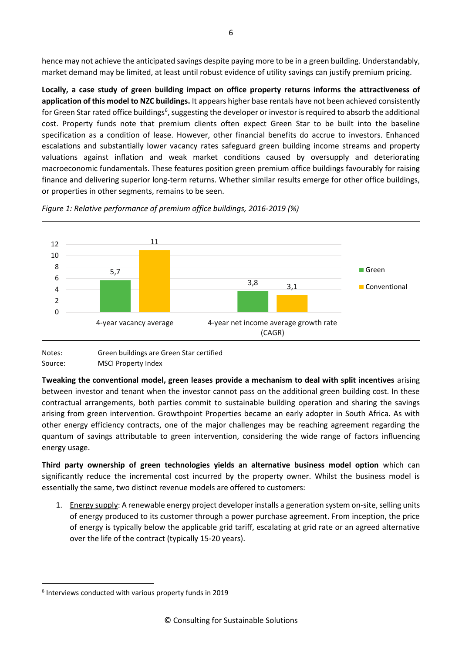hence may not achieve the anticipated savings despite paying more to be in a green building. Understandably, market demand may be limited, at least until robust evidence of utility savings can justify premium pricing.

**Locally, a case study of green building impact on office property returns informs the attractiveness of application of this model to NZC buildings.** It appears higher base rentals have not been achieved consistently for Green Star rated office buildings<sup>6</sup>, suggesting the developer or investor is required to absorb the additional cost. Property funds note that premium clients often expect Green Star to be built into the baseline specification as a condition of lease. However, other financial benefits do accrue to investors. Enhanced escalations and substantially lower vacancy rates safeguard green building income streams and property valuations against inflation and weak market conditions caused by oversupply and deteriorating macroeconomic fundamentals. These features position green premium office buildings favourably for raising finance and delivering superior long-term returns. Whether similar results emerge for other office buildings, or properties in other segments, remains to be seen.



*Figure 1: Relative performance of premium office buildings, 2016-2019 (%)*



**Tweaking the conventional model, green leases provide a mechanism to deal with split incentives** arising between investor and tenant when the investor cannot pass on the additional green building cost. In these contractual arrangements, both parties commit to sustainable building operation and sharing the savings arising from green intervention. Growthpoint Properties became an early adopter in South Africa. As with other energy efficiency contracts, one of the major challenges may be reaching agreement regarding the quantum of savings attributable to green intervention, considering the wide range of factors influencing energy usage.

**Third party ownership of green technologies yields an alternative business model option** which can significantly reduce the incremental cost incurred by the property owner. Whilst the business model is essentially the same, two distinct revenue models are offered to customers:

1. Energy supply: A renewable energy project developer installs a generation system on-site, selling units of energy produced to its customer through a power purchase agreement. From inception, the price of energy is typically below the applicable grid tariff, escalating at grid rate or an agreed alternative over the life of the contract (typically 15-20 years).

<sup>6</sup> Interviews conducted with various property funds in 2019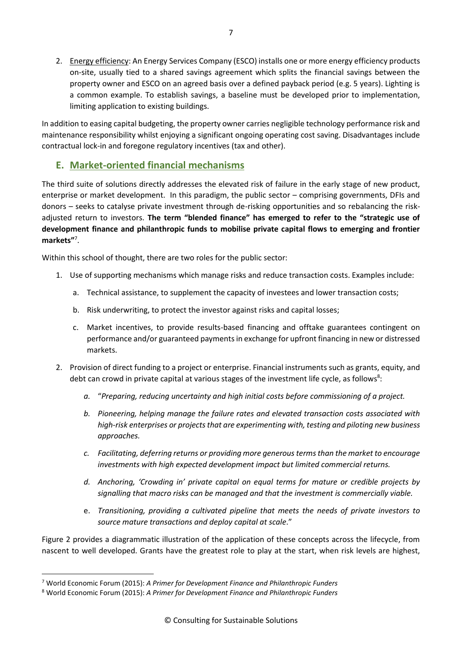2. Energy efficiency: An Energy Services Company (ESCO) installs one or more energy efficiency products on-site, usually tied to a shared savings agreement which splits the financial savings between the property owner and ESCO on an agreed basis over a defined payback period (e.g. 5 years). Lighting is a common example. To establish savings, a baseline must be developed prior to implementation, limiting application to existing buildings.

In addition to easing capital budgeting, the property owner carries negligible technology performance risk and maintenance responsibility whilst enjoying a significant ongoing operating cost saving. Disadvantages include contractual lock-in and foregone regulatory incentives (tax and other).

## **E. Market-oriented financial mechanisms**

The third suite of solutions directly addresses the elevated risk of failure in the early stage of new product, enterprise or market development. In this paradigm, the public sector – comprising governments, DFIs and donors – seeks to catalyse private investment through de-risking opportunities and so rebalancing the riskadjusted return to investors. **The term "blended finance" has emerged to refer to the "strategic use of development finance and philanthropic funds to mobilise private capital flows to emerging and frontier markets"**<sup>7</sup> .

Within this school of thought, there are two roles for the public sector:

- 1. Use of supporting mechanisms which manage risks and reduce transaction costs. Examples include:
	- a. Technical assistance, to supplement the capacity of investees and lower transaction costs;
	- b. Risk underwriting, to protect the investor against risks and capital losses;
	- c. Market incentives, to provide results-based financing and offtake guarantees contingent on performance and/or guaranteed payments in exchange for upfront financing in new or distressed markets.
- 2. Provision of direct funding to a project or enterprise. Financial instruments such as grants, equity, and debt can crowd in private capital at various stages of the investment life cycle, as follows<sup>8</sup>:
	- *a.* "*Preparing, reducing uncertainty and high initial costs before commissioning of a project.*
	- *b. Pioneering, helping manage the failure rates and elevated transaction costs associated with high-risk enterprises or projects that are experimenting with, testing and piloting new business approaches.*
	- *c. Facilitating, deferring returns or providing more generous terms than the market to encourage investments with high expected development impact but limited commercial returns.*
	- *d. Anchoring, 'Crowding in' private capital on equal terms for mature or credible projects by signalling that macro risks can be managed and that the investment is commercially viable.*
	- e. *Transitioning, providing a cultivated pipeline that meets the needs of private investors to source mature transactions and deploy capital at scale*."

Figure 2 provides a diagrammatic illustration of the application of these concepts across the lifecycle, from nascent to well developed. Grants have the greatest role to play at the start, when risk levels are highest,

<sup>7</sup> World Economic Forum (2015): *A Primer for Development Finance and Philanthropic Funders*

<sup>8</sup> World Economic Forum (2015): *A Primer for Development Finance and Philanthropic Funders*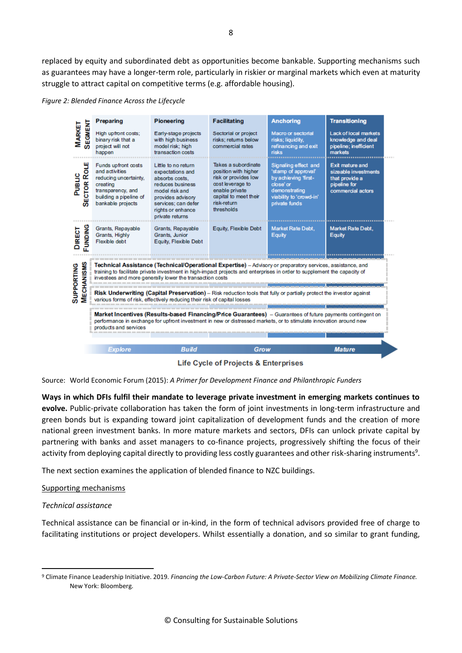replaced by equity and subordinated debt as opportunities become bankable. Supporting mechanisms such as guarantees may have a longer-term role, particularly in riskier or marginal markets which even at maturity struggle to attract capital on competitive terms (e.g. affordable housing).

*Figure 2: Blended Finance Across the Lifecycle*

|                                        | Preparing                                                                                                                                                                                                                                                                                          | <b>Pioneering</b>                                                                                                                                                                   | <b>Facilitating</b>                                                                                                                                             | <b>Anchoring</b>                                                                                                                              | <b>Transitioning</b>                                                                                  |  |  |
|----------------------------------------|----------------------------------------------------------------------------------------------------------------------------------------------------------------------------------------------------------------------------------------------------------------------------------------------------|-------------------------------------------------------------------------------------------------------------------------------------------------------------------------------------|-----------------------------------------------------------------------------------------------------------------------------------------------------------------|-----------------------------------------------------------------------------------------------------------------------------------------------|-------------------------------------------------------------------------------------------------------|--|--|
| SEGMENT<br><b>MARKET</b>               | High upfront costs;<br>binary risk that a<br>project will not<br>happen                                                                                                                                                                                                                            | Early-stage projects<br>with high business<br>model risk; high<br>transaction costs                                                                                                 | Sectorial or project<br>risks; returns below<br>commercial rates                                                                                                | Macro or sectorial<br>risks; liquidity,<br>refinancing and exit<br>risks                                                                      | Lack of local markets<br>knowledge and deal<br>pipeline; inefficient<br>markets                       |  |  |
| <b>SECTOR ROLE</b><br>onanc            | Funds upfront costs<br>and activities<br>reducing uncertainty,<br>creating<br>transparency, and<br>building a pipeline of<br>bankable projects                                                                                                                                                     | Little to no return<br>expectations and<br>absorbs costs.<br>reduces business<br>model risk and<br>provides advisory<br>services; can defer<br>rights or enhance<br>private returns | Takes a subordinate<br>position with higher<br>risk or provides low<br>cost leverage to<br>enable private<br>capital to meet their<br>risk-return<br>thresholds | Signaling effect and<br>'stamp of approval'<br>by achieving 'first-<br>close' or<br>demonstrating<br>viability to 'crowd-in'<br>private funds | <b>Exit mature and</b><br>sizeable investments<br>that provide a<br>pipeline for<br>commercial actors |  |  |
| DIRECT<br>FUNDING                      | Grants, Repayable<br>Grants, Highly<br>Flexible debt                                                                                                                                                                                                                                               | Grants, Repayable<br>Grants, Junior<br>Equity, Flexible Debt                                                                                                                        | Equity, Flexible Debt                                                                                                                                           | Market Rate Debt,<br>Equity                                                                                                                   | <b>Market Rate Debt.</b><br><b>Equity</b>                                                             |  |  |
| <b>MECHANISMS</b><br><b>SUPPORTING</b> | Technical Assistance (Technical/Operational Expertise) - Advisory or preparatory services, assistance, and<br>training to facilitate private investment in high-impact projects and enterprises in order to supplement the capacity of<br>investees and more generally lower the transaction costs |                                                                                                                                                                                     |                                                                                                                                                                 |                                                                                                                                               |                                                                                                       |  |  |
|                                        | Risk Underwriting (Capital Preservation) - Risk reduction tools that fully or partially protect the investor against<br>various forms of risk, effectively reducing their risk of capital losses                                                                                                   |                                                                                                                                                                                     |                                                                                                                                                                 |                                                                                                                                               |                                                                                                       |  |  |
|                                        | Market Incentives (Results-based Financing/Price Guarantees) – Guarantees of future payments contingent on<br>performance in exchange for upfront investment in new or distressed markets, or to stimulate innovation around new<br>products and services                                          |                                                                                                                                                                                     |                                                                                                                                                                 |                                                                                                                                               |                                                                                                       |  |  |
|                                        | <b>Explore</b>                                                                                                                                                                                                                                                                                     | <b>Build</b>                                                                                                                                                                        | Grow                                                                                                                                                            |                                                                                                                                               | <b>Mature</b>                                                                                         |  |  |
|                                        |                                                                                                                                                                                                                                                                                                    |                                                                                                                                                                                     |                                                                                                                                                                 |                                                                                                                                               |                                                                                                       |  |  |

Life Cycle of Projects & Enterprises

Source: World Economic Forum (2015): *A Primer for Development Finance and Philanthropic Funders*

**Ways in which DFIs fulfil their mandate to leverage private investment in emerging markets continues to evolve.** Public-private collaboration has taken the form of joint investments in long-term infrastructure and green bonds but is expanding toward joint capitalization of development funds and the creation of more national green investment banks. In more mature markets and sectors, DFIs can unlock private capital by partnering with banks and asset managers to co-finance projects, progressively shifting the focus of their activity from deploying capital directly to providing less costly guarantees and other risk-sharing instruments<sup>9</sup>.

The next section examines the application of blended finance to NZC buildings.

#### Supporting mechanisms

#### *Technical assistance*

Technical assistance can be financial or in-kind, in the form of technical advisors provided free of charge to facilitating institutions or project developers. Whilst essentially a donation, and so similar to grant funding,

<sup>9</sup> Climate Finance Leadership Initiative. 2019. *Financing the Low-Carbon Future: A Private-Sector View on Mobilizing Climate Finance.* New York: Bloomberg.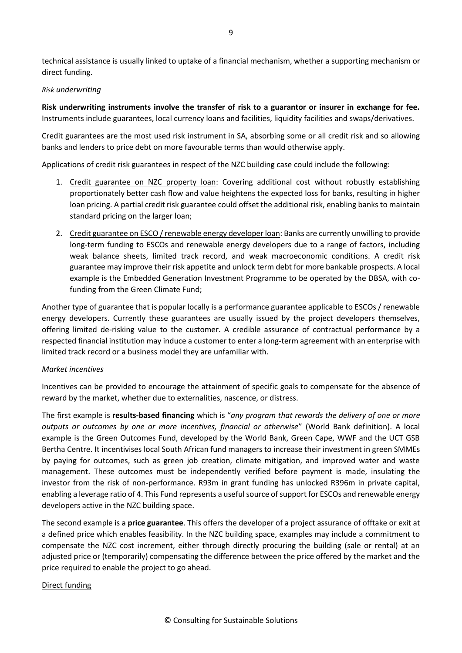technical assistance is usually linked to uptake of a financial mechanism, whether a supporting mechanism or direct funding.

#### *Risk underwriting*

**Risk underwriting instruments involve the transfer of risk to a guarantor or insurer in exchange for fee.** Instruments include guarantees, local currency loans and facilities, liquidity facilities and swaps/derivatives.

Credit guarantees are the most used risk instrument in SA, absorbing some or all credit risk and so allowing banks and lenders to price debt on more favourable terms than would otherwise apply.

Applications of credit risk guarantees in respect of the NZC building case could include the following:

- 1. Credit guarantee on NZC property loan: Covering additional cost without robustly establishing proportionately better cash flow and value heightens the expected loss for banks, resulting in higher loan pricing. A partial credit risk guarantee could offset the additional risk, enabling banks to maintain standard pricing on the larger loan;
- 2. Credit guarantee on ESCO / renewable energy developer loan: Banks are currently unwilling to provide long-term funding to ESCOs and renewable energy developers due to a range of factors, including weak balance sheets, limited track record, and weak macroeconomic conditions. A credit risk guarantee may improve their risk appetite and unlock term debt for more bankable prospects. A local example is the Embedded Generation Investment Programme to be operated by the DBSA, with cofunding from the Green Climate Fund;

Another type of guarantee that is popular locally is a performance guarantee applicable to ESCOs / renewable energy developers. Currently these guarantees are usually issued by the project developers themselves, offering limited de-risking value to the customer. A credible assurance of contractual performance by a respected financial institution may induce a customer to enter a long-term agreement with an enterprise with limited track record or a business model they are unfamiliar with.

#### *Market incentives*

Incentives can be provided to encourage the attainment of specific goals to compensate for the absence of reward by the market, whether due to externalities, nascence, or distress.

The first example is **results-based financing** which is "*any program that rewards the delivery of one or more outputs or outcomes by one or more incentives, financial or otherwise*" (World Bank definition). A local example is the Green Outcomes Fund, developed by the World Bank, Green Cape, WWF and the UCT GSB Bertha Centre. It incentivises local South African fund managers to increase their investment in green SMMEs by paying for outcomes, such as green job creation, climate mitigation, and improved water and waste management. These outcomes must be independently verified before payment is made, insulating the investor from the risk of non-performance. R93m in grant funding has unlocked R396m in private capital, enabling a leverage ratio of 4. This Fund represents a useful source of support for ESCOs and renewable energy developers active in the NZC building space.

The second example is a **price guarantee**. This offers the developer of a project assurance of offtake or exit at a defined price which enables feasibility. In the NZC building space, examples may include a commitment to compensate the NZC cost increment, either through directly procuring the building (sale or rental) at an adjusted price or (temporarily) compensating the difference between the price offered by the market and the price required to enable the project to go ahead.

#### Direct funding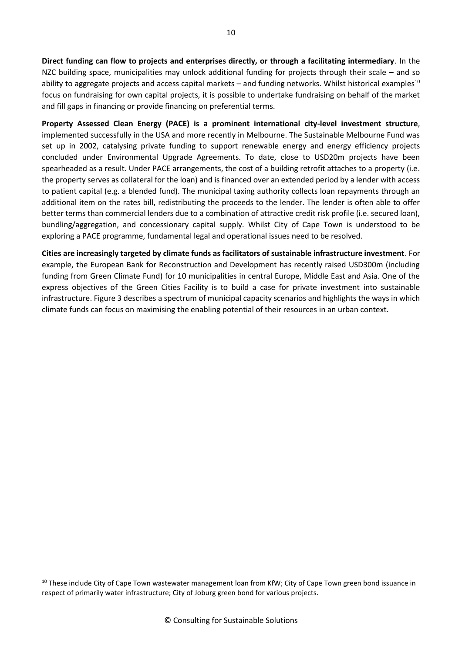**Direct funding can flow to projects and enterprises directly, or through a facilitating intermediary**. In the NZC building space, municipalities may unlock additional funding for projects through their scale – and so ability to aggregate projects and access capital markets – and funding networks. Whilst historical examples<sup>10</sup> focus on fundraising for own capital projects, it is possible to undertake fundraising on behalf of the market and fill gaps in financing or provide financing on preferential terms.

**Property Assessed Clean Energy (PACE) is a prominent international city-level investment structure**, implemented successfully in the USA and more recently in Melbourne. The Sustainable Melbourne Fund was set up in 2002, catalysing private funding to support renewable energy and energy efficiency projects concluded under Environmental Upgrade Agreements. To date, close to USD20m projects have been spearheaded as a result. Under PACE arrangements, the cost of a building retrofit attaches to a property (i.e. the property serves as collateral for the loan) and is financed over an extended period by a lender with access to patient capital (e.g. a blended fund). The municipal taxing authority collects loan repayments through an additional item on the rates bill, redistributing the proceeds to the lender. The lender is often able to offer better terms than commercial lenders due to a combination of attractive credit risk profile (i.e. secured loan), bundling/aggregation, and concessionary capital supply. Whilst City of Cape Town is understood to be exploring a PACE programme, fundamental legal and operational issues need to be resolved.

**Cities are increasingly targeted by climate funds as facilitators of sustainable infrastructure investment**. For example, the European Bank for Reconstruction and Development has recently raised USD300m (including funding from Green Climate Fund) for 10 municipalities in central Europe, Middle East and Asia. One of the express objectives of the Green Cities Facility is to build a case for private investment into sustainable infrastructure. Figure 3 describes a spectrum of municipal capacity scenarios and highlights the ways in which climate funds can focus on maximising the enabling potential of their resources in an urban context.

<sup>&</sup>lt;sup>10</sup> These include City of Cape Town wastewater management loan from KfW; City of Cape Town green bond issuance in respect of primarily water infrastructure; City of Joburg green bond for various projects.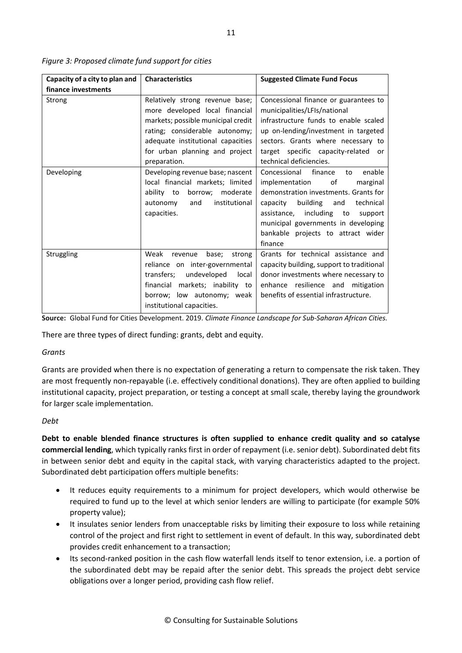| Capacity of a city to plan and | <b>Characteristics</b>                                                                                                                                                                                                           | <b>Suggested Climate Fund Focus</b>                                                                                                                                                                                                                                                          |  |
|--------------------------------|----------------------------------------------------------------------------------------------------------------------------------------------------------------------------------------------------------------------------------|----------------------------------------------------------------------------------------------------------------------------------------------------------------------------------------------------------------------------------------------------------------------------------------------|--|
| finance investments            |                                                                                                                                                                                                                                  |                                                                                                                                                                                                                                                                                              |  |
| Strong                         | Relatively strong revenue base;<br>more developed local financial<br>markets; possible municipal credit<br>rating; considerable autonomy;<br>adequate institutional capacities<br>for urban planning and project<br>preparation. | Concessional finance or guarantees to<br>municipalities/LFIs/national<br>infrastructure funds to enable scaled<br>up on-lending/investment in targeted<br>sectors. Grants where necessary to<br>target specific capacity-related or<br>technical deficiencies.                               |  |
| Developing                     | Developing revenue base; nascent<br>local financial markets; limited<br>ability to<br>borrow;<br>moderate<br>institutional<br>and<br>autonomy<br>capacities.                                                                     | enable<br>Concessional finance<br>to<br>implementation<br>of<br>marginal<br>demonstration investments. Grants for<br>building<br>capacity<br>technical<br>and<br>assistance, including to<br>support<br>municipal governments in developing<br>bankable projects to attract wider<br>finance |  |
| Struggling                     | Weak<br>revenue<br>base;<br>strong<br>reliance on inter-governmental<br>transfers; undeveloped<br>local<br>financial markets; inability to<br>borrow; low autonomy; weak<br>institutional capacities.                            | Grants for technical assistance and<br>capacity building, support to traditional<br>donor investments where necessary to<br>enhance resilience and mitigation<br>benefits of essential infrastructure.                                                                                       |  |

*Figure 3: Proposed climate fund support for cities*

**Source:** Global Fund for Cities Development. 2019. *Climate Finance Landscape for Sub-Saharan African Cities.*

There are three types of direct funding: grants, debt and equity.

#### *Grants*

Grants are provided when there is no expectation of generating a return to compensate the risk taken. They are most frequently non-repayable (i.e. effectively conditional donations). They are often applied to building institutional capacity, project preparation, or testing a concept at small scale, thereby laying the groundwork for larger scale implementation.

#### *Debt*

**Debt to enable blended finance structures is often supplied to enhance credit quality and so catalyse commercial lending**, which typically ranks first in order of repayment (i.e. senior debt). Subordinated debt fits in between senior debt and equity in the capital stack, with varying characteristics adapted to the project. Subordinated debt participation offers multiple benefits:

- It reduces equity requirements to a minimum for project developers, which would otherwise be required to fund up to the level at which senior lenders are willing to participate (for example 50% property value);
- It insulates senior lenders from unacceptable risks by limiting their exposure to loss while retaining control of the project and first right to settlement in event of default. In this way, subordinated debt provides credit enhancement to a transaction;
- Its second-ranked position in the cash flow waterfall lends itself to tenor extension, i.e. a portion of the subordinated debt may be repaid after the senior debt. This spreads the project debt service obligations over a longer period, providing cash flow relief.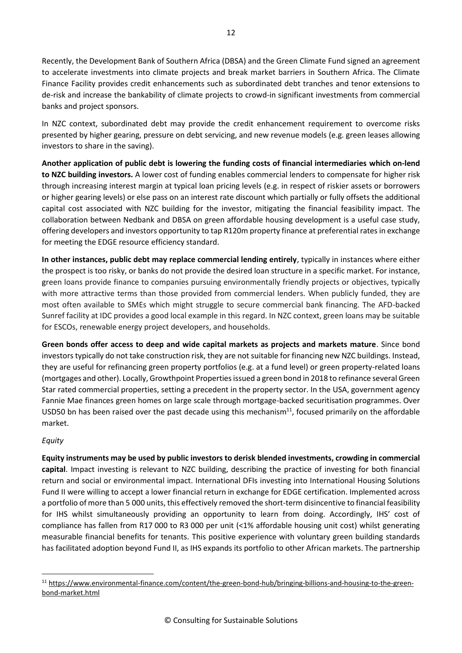Recently, the Development Bank of Southern Africa (DBSA) and the Green Climate Fund signed an agreement to accelerate investments into climate projects and break market barriers in Southern Africa. The Climate Finance Facility provides credit enhancements such as subordinated debt tranches and tenor extensions to de-risk and increase the bankability of climate projects to crowd-in significant investments from commercial banks and project sponsors.

In NZC context, subordinated debt may provide the credit enhancement requirement to overcome risks presented by higher gearing, pressure on debt servicing, and new revenue models (e.g. green leases allowing investors to share in the saving).

**Another application of public debt is lowering the funding costs of financial intermediaries which on-lend to NZC building investors.** A lower cost of funding enables commercial lenders to compensate for higher risk through increasing interest margin at typical loan pricing levels (e.g. in respect of riskier assets or borrowers or higher gearing levels) or else pass on an interest rate discount which partially or fully offsets the additional capital cost associated with NZC building for the investor, mitigating the financial feasibility impact. The collaboration between Nedbank and DBSA on green affordable housing development is a useful case study, offering developers and investors opportunity to tap R120m property finance at preferential rates in exchange for meeting the EDGE resource efficiency standard.

**In other instances, public debt may replace commercial lending entirely**, typically in instances where either the prospect is too risky, or banks do not provide the desired loan structure in a specific market. For instance, green loans provide finance to companies pursuing environmentally friendly projects or objectives, typically with more attractive terms than those provided from commercial lenders. When publicly funded, they are most often available to SMEs which might struggle to secure commercial bank financing. The AFD-backed Sunref facility at IDC provides a good local example in this regard. In NZC context, green loans may be suitable for ESCOs, renewable energy project developers, and households.

**Green bonds offer access to deep and wide capital markets as projects and markets mature**. Since bond investors typically do not take construction risk, they are not suitable for financing new NZC buildings. Instead, they are useful for refinancing green property portfolios (e.g. at a fund level) or green property-related loans (mortgages and other). Locally, Growthpoint Properties issued a green bond in 2018 to refinance several Green Star rated commercial properties, setting a precedent in the property sector. In the USA, government agency Fannie Mae finances green homes on large scale through mortgage-backed securitisation programmes. Over USD50 bn has been raised over the past decade using this mechanism<sup>11</sup>, focused primarily on the affordable market.

### *Equity*

**Equity instruments may be used by public investors to derisk blended investments, crowding in commercial capital**. Impact investing is relevant to NZC building, describing the practice of investing for both financial return and social or environmental impact. International DFIs investing into International Housing Solutions Fund II were willing to accept a lower financial return in exchange for EDGE certification. Implemented across a portfolio of more than 5 000 units, this effectively removed the short-term disincentive to financial feasibility for IHS whilst simultaneously providing an opportunity to learn from doing. Accordingly, IHS' cost of compliance has fallen from R17 000 to R3 000 per unit (<1% affordable housing unit cost) whilst generating measurable financial benefits for tenants. This positive experience with voluntary green building standards has facilitated adoption beyond Fund II, as IHS expands its portfolio to other African markets. The partnership

<sup>11</sup> [https://www.environmental-finance.com/content/the-green-bond-hub/bringing-billions-and-housing-to-the-green](https://www.environmental-finance.com/content/the-green-bond-hub/bringing-billions-and-housing-to-the-green-bond-market.html)[bond-market.html](https://www.environmental-finance.com/content/the-green-bond-hub/bringing-billions-and-housing-to-the-green-bond-market.html)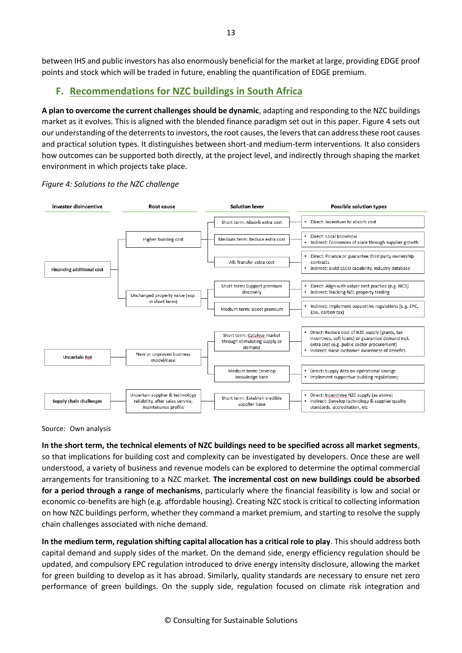between IHS and public investors has also enormously beneficial for the market at large, providing EDGE proof points and stock which will be traded in future, enabling the quantification of EDGE premium.

# **F. Recommendations for NZC buildings in South Africa**

**A plan to overcome the current challenges should be dynamic**, adapting and responding to the NZC buildings market as it evolves. This is aligned with the blended finance paradigm set out in this paper. Figure 4 sets out our understanding of the deterrents to investors, the root causes, the levers that can address these root causes and practical solution types. It distinguishes between short-and medium-term interventions. It also considers how outcomes can be supported both directly, at the project level, and indirectly through shaping the market environment in which projects take place.





Source: Own analysis

**In the short term, the technical elements of NZC buildings need to be specified across all market segments**, so that implications for building cost and complexity can be investigated by developers. Once these are well understood, a variety of business and revenue models can be explored to determine the optimal commercial arrangements for transitioning to a NZC market. **The incremental cost on new buildings could be absorbed for a period through a range of mechanisms**, particularly where the financial feasibility is low and social or economic co-benefits are high (e.g. affordable housing). Creating NZC stock is critical to collecting information on how NZC buildings perform, whether they command a market premium, and starting to resolve the supply chain challenges associated with niche demand.

**In the medium term, regulation shifting capital allocation has a critical role to play**. This should address both capital demand and supply sides of the market. On the demand side, energy efficiency regulation should be updated, and compulsory EPC regulation introduced to drive energy intensity disclosure, allowing the market for green building to develop as it has abroad. Similarly, quality standards are necessary to ensure net zero performance of green buildings. On the supply side, regulation focused on climate risk integration and